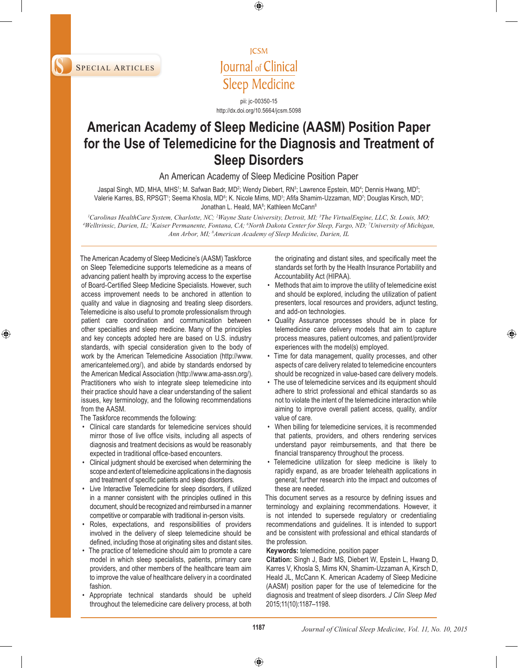

**ICSM** Journal of Clinical **Sleep Medicine** 

pii: jc-00350-15 http://dx.doi.org/10.5664/jcsm.5098

# **American Academy of Sleep Medicine (AASM) Position Paper for the Use of Telemedicine for the Diagnosis and Treatment of Sleep Disorders**

An American Academy of Sleep Medicine Position Paper

Jaspal Singh, MD, MHA, MHS<sup>ı</sup>; M. Safwan Badr, MD<sup>2</sup>; Wendy Diebert, RN<sup>3</sup>; Lawrence Epstein, MD<sup>4</sup>; Dennis Hwang, MD<sup>5</sup>; Valerie Karres, BS, RPSGT<sup>ı</sup>; Seema Khosla, MD<sup>6</sup>; K. Nicole Mims, MD<sup>1</sup>; Afifa Shamim-Uzzaman, MD<sup>7</sup>; Douglas Kirsch, MD<sup>1</sup>; Jonathan L. Heald, MA<sup>8</sup>; Kathleen McCann<sup>8</sup>

<sup>1</sup>Carolinas HealthCare System, Charlotte, NC; <sup>2</sup>Wayne State University, Detroit, MI; <sup>3</sup>The VirtualEngine, LLC, St. Louis, MO;<br><sup>4</sup>Welltrinsic, Darien, H.<sup>, 5</sup>Kaiser Permanente, Eontana, C.A. <sup>6</sup>North Dakota Center for Sl *Welltrinsic, Darien, IL; 5 Kaiser Permanente, Fontana, CA; 6 North Dakota Center for Sleep, Fargo, ND; 7 University of Michigan, Ann Arbor, MI; 8 American Academy of Sleep Medicine, Darien, IL*

The American Academy of Sleep Medicine's (AASM) Taskforce on Sleep Telemedicine supports telemedicine as a means of advancing patient health by improving access to the expertise of Board-Certified Sleep Medicine Specialists. However, such access improvement needs to be anchored in attention to quality and value in diagnosing and treating sleep disorders. Telemedicine is also useful to promote professionalism through patient care coordination and communication between other specialties and sleep medicine. Many of the principles and key concepts adopted here are based on U.S. industry standards, with special consideration given to the body of work by the American Telemedicine Association (http://www. americantelemed.org/), and abide by standards endorsed by the American Medical Association (http://www.ama-assn.org/). Practitioners who wish to integrate sleep telemedicine into their practice should have a clear understanding of the salient issues, key terminology, and the following recommendations from the AASM.

The Taskforce recommends the following:

- Clinical care standards for telemedicine services should mirror those of live office visits, including all aspects of diagnosis and treatment decisions as would be reasonably expected in traditional office-based encounters.
- Clinical judgment should be exercised when determining the scope and extent of telemedicine applications in the diagnosis and treatment of specific patients and sleep disorders.
- Live Interactive Telemedicine for sleep disorders, if utilized in a manner consistent with the principles outlined in this document, should be recognized and reimbursed in a manner competitive or comparable with traditional in-person visits.
- Roles, expectations, and responsibilities of providers involved in the delivery of sleep telemedicine should be defined, including those at originating sites and distant sites.
- The practice of telemedicine should aim to promote a care model in which sleep specialists, patients, primary care providers, and other members of the healthcare team aim to improve the value of healthcare delivery in a coordinated fashion.
- Appropriate technical standards should be upheld throughout the telemedicine care delivery process, at both

the originating and distant sites, and specifically meet the standards set forth by the Health Insurance Portability and Accountability Act (HIPAA).

- Methods that aim to improve the utility of telemedicine exist and should be explored, including the utilization of patient presenters, local resources and providers, adjunct testing, and add-on technologies.
- Quality Assurance processes should be in place for telemedicine care delivery models that aim to capture process measures, patient outcomes, and patient/provider experiences with the model(s) employed.
- Time for data management, quality processes, and other aspects of care delivery related to telemedicine encounters should be recognized in value-based care delivery models.
- The use of telemedicine services and its equipment should adhere to strict professional and ethical standards so as not to violate the intent of the telemedicine interaction while aiming to improve overall patient access, quality, and/or value of care.
- When billing for telemedicine services, it is recommended that patients, providers, and others rendering services understand payor reimbursements, and that there be financial transparency throughout the process.
- Telemedicine utilization for sleep medicine is likely to rapidly expand, as are broader telehealth applications in general; further research into the impact and outcomes of these are needed.

This document serves as a resource by defining issues and terminology and explaining recommendations. However, it is not intended to supersede regulatory or credentialing recommendations and guidelines. It is intended to support and be consistent with professional and ethical standards of the profession.

**Keywords:** telemedicine, position paper

**Citation:** Singh J, Badr MS, Diebert W, Epstein L, Hwang D, Karres V, Khosla S, Mims KN, Shamim-Uzzaman A, Kirsch D, Heald JL, McCann K. American Academy of Sleep Medicine (AASM) position paper for the use of telemedicine for the diagnosis and treatment of sleep disorders. *J Clin Sleep Med*  2015;11(10):1187–1198.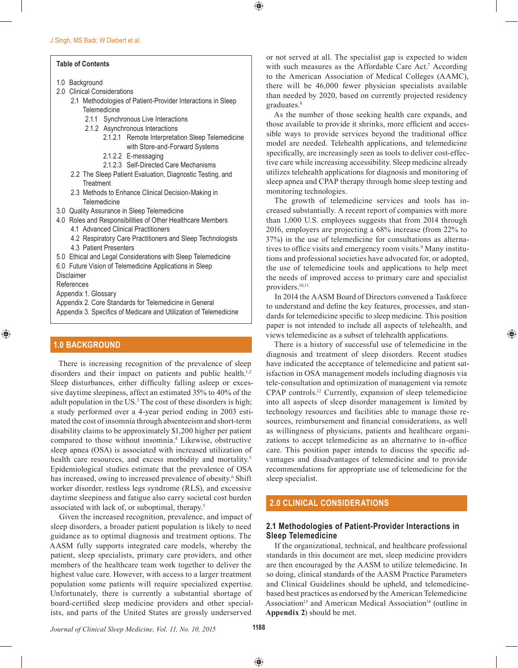#### **Table of Contents**

- 1.0 Background
- 2.0 Clinical Considerations
	- 2.1 Methodologies of Patient-Provider Interactions in Sleep **Telemedicine** 
		- 2.1.1 Synchronous Live Interactions
		- 2.1.2 Asynchronous Interactions
			- 2.1.2.1 Remote Interpretation Sleep Telemedicine with Store-and-Forward Systems
			- 2.1.2.2 E-messaging
			- 2.1.2.3 Self-Directed Care Mechanisms
	- 2.2 The Sleep Patient Evaluation, Diagnostic Testing, and **Treatment**
	- 2.3 Methods to Enhance Clinical Decision-Making in Telemedicine
- 3.0 Quality Assurance in Sleep Telemedicine
- 4.0 Roles and Responsibilities of Other Healthcare Members
	- 4.1 Advanced Clinical Practitioners
	- 4.2 Respiratory Care Practitioners and Sleep Technologists 4.3 Patient Presenters
- 5.0 Ethical and Legal Considerations with Sleep Telemedicine
- 6.0 Future Vision of Telemedicine Applications in Sleep

Disclaimer

- References
- Appendix 1. Glossary
- Appendix 2. Core Standards for Telemedicine in General
- Appendix 3. Specifics of Medicare and Utilization of Telemedicine

# **1.0 BACKGROUND**

There is increasing recognition of the prevalence of sleep disorders and their impact on patients and public health.<sup>1,2</sup> Sleep disturbances, either difficulty falling asleep or excessive daytime sleepiness, affect an estimated 35% to 40% of the adult population in the US.<sup>3</sup> The cost of these disorders is high; a study performed over a 4-year period ending in 2003 estimated the cost of insomnia through absenteeism and short-term disability claims to be approximately \$1,200 higher per patient compared to those without insomnia.4 Likewise, obstructive sleep apnea (OSA) is associated with increased utilization of health care resources, and excess morbidity and mortality.<sup>5</sup> Epidemiological studies estimate that the prevalence of OSA has increased, owing to increased prevalence of obesity.<sup>6</sup> Shift worker disorder, restless legs syndrome (RLS), and excessive daytime sleepiness and fatigue also carry societal cost burden associated with lack of, or suboptimal, therapy.5

Given the increased recognition, prevalence, and impact of sleep disorders, a broader patient population is likely to need guidance as to optimal diagnosis and treatment options. The AASM fully supports integrated care models, whereby the patient, sleep specialists, primary care providers, and other members of the healthcare team work together to deliver the highest value care. However, with access to a larger treatment population some patients will require specialized expertise. Unfortunately, there is currently a substantial shortage of board-certified sleep medicine providers and other specialists, and parts of the United States are grossly underserved

or not served at all. The specialist gap is expected to widen with such measures as the Affordable Care Act.<sup>7</sup> According to the American Association of Medical Colleges (AAMC), there will be 46,000 fewer physician specialists available than needed by 2020, based on currently projected residency graduates.<sup>8</sup>

As the number of those seeking health care expands, and those available to provide it shrinks, more efficient and accessible ways to provide services beyond the traditional office model are needed. Telehealth applications, and telemedicine specifically, are increasingly seen as tools to deliver cost-effective care while increasing accessibility. Sleep medicine already utilizes telehealth applications for diagnosis and monitoring of sleep apnea and CPAP therapy through home sleep testing and monitoring technologies.

The growth of telemedicine services and tools has increased substantially. A recent report of companies with more than 1,000 U.S. employees suggests that from 2014 through 2016, employers are projecting a 68% increase (from 22% to 37%) in the use of telemedicine for consultations as alternatives to office visits and emergency room visits.<sup>9</sup> Many institutions and professional societies have advocated for, or adopted, the use of telemedicine tools and applications to help meet the needs of improved access to primary care and specialist providers.10,11

In 2014 the AASM Board of Directors convened a Taskforce to understand and define the key features, processes, and standards for telemedicine specific to sleep medicine. This position paper is not intended to include all aspects of telehealth, and views telemedicine as a subset of telehealth applications.

There is a history of successful use of telemedicine in the diagnosis and treatment of sleep disorders. Recent studies have indicated the acceptance of telemedicine and patient satisfaction in OSA management models including diagnosis via tele-consultation and optimization of management via remote CPAP controls.12 Currently, expansion of sleep telemedicine into all aspects of sleep disorder management is limited by technology resources and facilities able to manage those resources, reimbursement and financial considerations, as well as willingness of physicians, patients and healthcare organizations to accept telemedicine as an alternative to in-office care. This position paper intends to discuss the specific advantages and disadvantages of telemedicine and to provide recommendations for appropriate use of telemedicine for the sleep specialist.

# **2.0 CLINICAL CONSIDERATIONS**

# **2.1 Methodologies of Patient-Provider Interactions in Sleep Telemedicine**

If the organizational, technical, and healthcare professional standards in this document are met, sleep medicine providers are then encouraged by the AASM to utilize telemedicine. In so doing, clinical standards of the AASM Practice Parameters and Clinical Guidelines should be upheld, and telemedicinebased best practices as endorsed by the American Telemedicine Association<sup>13</sup> and American Medical Association<sup>14</sup> (outline in **Appendix 2**) should be met.

*Journal of Clinical Sleep Medicine, Vol. 11, No. 10, 2015* **1188**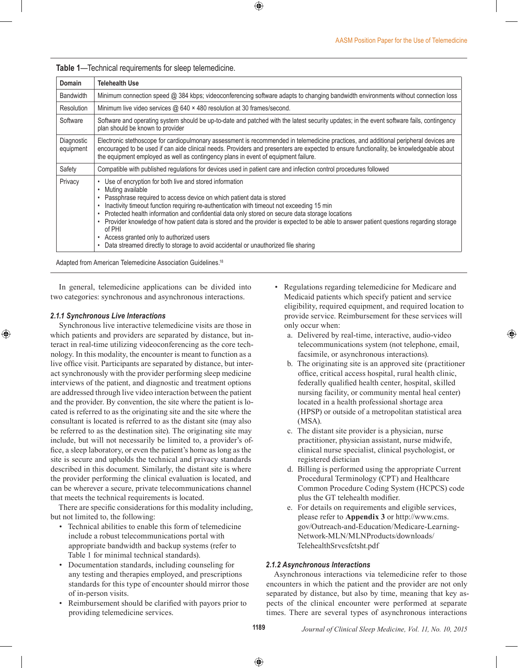**Table 1**—Technical requirements for sleep telemedicine.

| Domain                  | <b>Telehealth Use</b>                                                                                                                                                                                                                                                                                                                                                                                                                                                                                                                                                                                                                                 |
|-------------------------|-------------------------------------------------------------------------------------------------------------------------------------------------------------------------------------------------------------------------------------------------------------------------------------------------------------------------------------------------------------------------------------------------------------------------------------------------------------------------------------------------------------------------------------------------------------------------------------------------------------------------------------------------------|
| <b>Bandwidth</b>        | Minimum connection speed @ 384 kbps; videoconferencing software adapts to changing bandwidth environments without connection loss                                                                                                                                                                                                                                                                                                                                                                                                                                                                                                                     |
| Resolution              | Minimum live video services $@640 \times 480$ resolution at 30 frames/second.                                                                                                                                                                                                                                                                                                                                                                                                                                                                                                                                                                         |
| Software                | Software and operating system should be up-to-date and patched with the latest security updates; in the event software fails, contingency<br>plan should be known to provider                                                                                                                                                                                                                                                                                                                                                                                                                                                                         |
| Diagnostic<br>equipment | Electronic stethoscope for cardiopulmonary assessment is recommended in telemedicine practices, and additional peripheral devices are<br>encouraged to be used if can aide clinical needs. Providers and presenters are expected to ensure functionality, be knowledgeable about<br>the equipment employed as well as contingency plans in event of equipment failure.                                                                                                                                                                                                                                                                                |
| Safety                  | Compatible with published regulations for devices used in patient care and infection control procedures followed                                                                                                                                                                                                                                                                                                                                                                                                                                                                                                                                      |
| Privacy                 | • Use of encryption for both live and stored information<br>Muting available<br>٠<br>Passphrase required to access device on which patient data is stored<br>Inactivity timeout function requiring re-authentication with timeout not exceeding 15 min<br>Protected health information and confidential data only stored on secure data storage locations<br>٠<br>• Provider knowledge of how patient data is stored and the provider is expected to be able to answer patient questions regarding storage<br>of PHI<br>Access granted only to authorized users<br>Data streamed directly to storage to avoid accidental or unauthorized file sharing |

Adapted from American Telemedicine Association Guidelines.18

In general, telemedicine applications can be divided into two categories: synchronous and asynchronous interactions.

#### *2.1.1 Synchronous Live Interactions*

Synchronous live interactive telemedicine visits are those in which patients and providers are separated by distance, but interact in real-time utilizing videoconferencing as the core technology. In this modality, the encounter is meant to function as a live office visit. Participants are separated by distance, but interact synchronously with the provider performing sleep medicine interviews of the patient, and diagnostic and treatment options are addressed through live video interaction between the patient and the provider. By convention, the site where the patient is located is referred to as the originating site and the site where the consultant is located is referred to as the distant site (may also be referred to as the destination site). The originating site may include, but will not necessarily be limited to, a provider's office, a sleep laboratory, or even the patient's home as long as the site is secure and upholds the technical and privacy standards described in this document. Similarly, the distant site is where the provider performing the clinical evaluation is located, and can be wherever a secure, private telecommunications channel that meets the technical requirements is located.

There are specific considerations for this modality including, but not limited to, the following:

- Technical abilities to enable this form of telemedicine include a robust telecommunications portal with appropriate bandwidth and backup systems (refer to Table 1 for minimal technical standards).
- Documentation standards, including counseling for any testing and therapies employed, and prescriptions standards for this type of encounter should mirror those of in-person visits.
- Reimbursement should be clarified with payors prior to providing telemedicine services.
- Regulations regarding telemedicine for Medicare and Medicaid patients which specify patient and service eligibility, required equipment, and required location to provide service. Reimbursement for these services will only occur when:
	- a. Delivered by real-time, interactive, audio-video telecommunications system (not telephone, email, facsimile, or asynchronous interactions).
	- b. The originating site is an approved site (practitioner office, critical access hospital, rural health clinic, federally qualified health center, hospital, skilled nursing facility, or community mental heal center) located in a health professional shortage area (HPSP) or outside of a metropolitan statistical area (MSA).
	- c. The distant site provider is a physician, nurse practitioner, physician assistant, nurse midwife, clinical nurse specialist, clinical psychologist, or registered dietician
	- d. Billing is performed using the appropriate Current Procedural Terminology (CPT) and Healthcare Common Procedure Coding System (HCPCS) code plus the GT telehealth modifier.
	- e. For details on requirements and eligible services, please refer to **Appendix 3** or http://www.cms. gov/Outreach-and-Education/Medicare-Learning-Network-MLN/MLNProducts/downloads/ TelehealthSrvcsfctsht.pdf

### *2.1.2 Asynchronous Interactions*

Asynchronous interactions via telemedicine refer to those encounters in which the patient and the provider are not only separated by distance, but also by time, meaning that key aspects of the clinical encounter were performed at separate times. There are several types of asynchronous interactions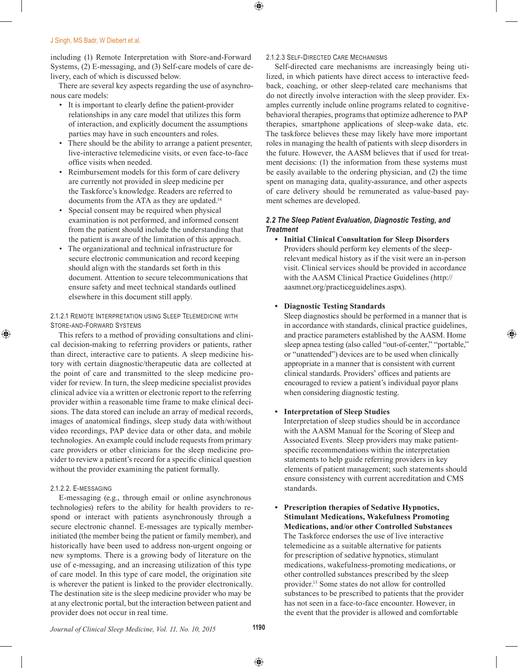including (1) Remote Interpretation with Store-and-Forward Systems, (2) E-messaging, and (3) Self-care models of care delivery, each of which is discussed below.

There are several key aspects regarding the use of asynchronous care models:

- It is important to clearly define the patient-provider relationships in any care model that utilizes this form of interaction, and explicitly document the assumptions parties may have in such encounters and roles.
- There should be the ability to arrange a patient presenter, live-interactive telemedicine visits, or even face-to-face office visits when needed.
- Reimbursement models for this form of care delivery are currently not provided in sleep medicine per the Taskforce's knowledge. Readers are referred to documents from the ATA as they are updated.<sup>14</sup>
- Special consent may be required when physical examination is not performed, and informed consent from the patient should include the understanding that the patient is aware of the limitation of this approach.
- The organizational and technical infrastructure for secure electronic communication and record keeping should align with the standards set forth in this document. Attention to secure telecommunications that ensure safety and meet technical standards outlined elsewhere in this document still apply.

### 2.1.2.1 Remote Interpretation using Sleep Telemedicine with Store-and-Forward Systems

This refers to a method of providing consultations and clinical decision-making to referring providers or patients, rather than direct, interactive care to patients. A sleep medicine history with certain diagnostic/therapeutic data are collected at the point of care and transmitted to the sleep medicine provider for review. In turn, the sleep medicine specialist provides clinical advice via a written or electronic report to the referring provider within a reasonable time frame to make clinical decisions. The data stored can include an array of medical records, images of anatomical findings, sleep study data with/without video recordings, PAP device data or other data, and mobile technologies. An example could include requests from primary care providers or other clinicians for the sleep medicine provider to review a patient's record for a specific clinical question without the provider examining the patient formally.

# 2.1.2.2. E-messaging

E-messaging (e.g., through email or online asynchronous technologies) refers to the ability for health providers to respond or interact with patients asynchronously through a secure electronic channel. E-messages are typically memberinitiated (the member being the patient or family member), and historically have been used to address non-urgent ongoing or new symptoms. There is a growing body of literature on the use of e-messaging, and an increasing utilization of this type of care model. In this type of care model, the origination site is wherever the patient is linked to the provider electronically. The destination site is the sleep medicine provider who may be at any electronic portal, but the interaction between patient and provider does not occur in real time.

### 2.1.2.3 Self-Directed Care Mechanisms

Self-directed care mechanisms are increasingly being utilized, in which patients have direct access to interactive feedback, coaching, or other sleep-related care mechanisms that do not directly involve interaction with the sleep provider. Examples currently include online programs related to cognitivebehavioral therapies, programs that optimize adherence to PAP therapies, smartphone applications of sleep-wake data, etc. The taskforce believes these may likely have more important roles in managing the health of patients with sleep disorders in the future. However, the AASM believes that if used for treatment decisions: (1) the information from these systems must be easily available to the ordering physician, and (2) the time spent on managing data, quality-assurance, and other aspects of care delivery should be remunerated as value-based payment schemes are developed.

### *2.2 The Sleep Patient Evaluation, Diagnostic Testing, and Treatment*

**• Initial Clinical Consultation for Sleep Disorders** Providers should perform key elements of the sleeprelevant medical history as if the visit were an in-person visit. Clinical services should be provided in accordance with the AASM Clinical Practice Guidelines (http:// aasmnet.org/practiceguidelines.aspx).

### **• Diagnostic Testing Standards**

Sleep diagnostics should be performed in a manner that is in accordance with standards, clinical practice guidelines, and practice parameters established by the AASM. Home sleep apnea testing (also called "out-of-center," "portable," or "unattended") devices are to be used when clinically appropriate in a manner that is consistent with current clinical standards. Providers' offices and patients are encouraged to review a patient's individual payor plans when considering diagnostic testing.

# **• Interpretation of Sleep Studies**

Interpretation of sleep studies should be in accordance with the AASM Manual for the Scoring of Sleep and Associated Events*.* Sleep providers may make patientspecific recommendations within the interpretation statements to help guide referring providers in key elements of patient management; such statements should ensure consistency with current accreditation and CMS standards.

**• Prescription therapies of Sedative Hypnotics, Stimulant Medications, Wakefulness Promoting Medications, and/or other Controlled Substances** The Taskforce endorses the use of live interactive telemedicine as a suitable alternative for patients for prescription of sedative hypnotics, stimulant medications, wakefulness-promoting medications, or other controlled substances prescribed by the sleep provider.13 Some states do not allow for controlled substances to be prescribed to patients that the provider has not seen in a face-to-face encounter. However, in the event that the provider is allowed and comfortable

*Journal of Clinical Sleep Medicine, Vol. 11, No. 10, 2015* **1190**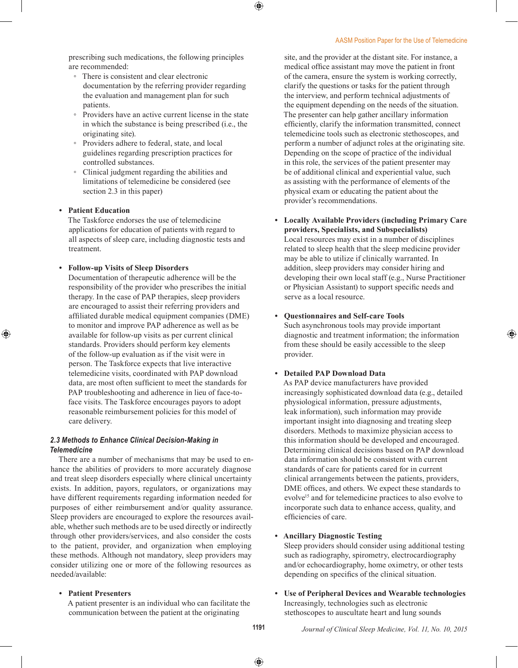prescribing such medications, the following principles are recommended:

- There is consistent and clear electronic documentation by the referring provider regarding the evaluation and management plan for such patients.
- Providers have an active current license in the state in which the substance is being prescribed (i.e., the originating site).
- Providers adhere to federal, state, and local guidelines regarding prescription practices for controlled substances.
- Clinical judgment regarding the abilities and limitations of telemedicine be considered (see section 2.3 in this paper)

### **• Patient Education**

The Taskforce endorses the use of telemedicine applications for education of patients with regard to all aspects of sleep care, including diagnostic tests and treatment.

### **• Follow-up Visits of Sleep Disorders**

Documentation of therapeutic adherence will be the responsibility of the provider who prescribes the initial therapy. In the case of PAP therapies, sleep providers are encouraged to assist their referring providers and affiliated durable medical equipment companies (DME) to monitor and improve PAP adherence as well as be available for follow-up visits as per current clinical standards. Providers should perform key elements of the follow-up evaluation as if the visit were in person. The Taskforce expects that live interactive telemedicine visits, coordinated with PAP download data, are most often sufficient to meet the standards for PAP troubleshooting and adherence in lieu of face-toface visits. The Taskforce encourages payors to adopt reasonable reimbursement policies for this model of care delivery.

### *2.3 Methods to Enhance Clinical Decision-Making in Telemedicine*

There are a number of mechanisms that may be used to enhance the abilities of providers to more accurately diagnose and treat sleep disorders especially where clinical uncertainty exists. In addition, payors, regulators, or organizations may have different requirements regarding information needed for purposes of either reimbursement and/or quality assurance. Sleep providers are encouraged to explore the resources available, whether such methods are to be used directly or indirectly through other providers/services, and also consider the costs to the patient, provider, and organization when employing these methods. Although not mandatory, sleep providers may consider utilizing one or more of the following resources as needed/available:

### **• Patient Presenters**

A patient presenter is an individual who can facilitate the communication between the patient at the originating

site, and the provider at the distant site. For instance, a medical office assistant may move the patient in front of the camera, ensure the system is working correctly, clarify the questions or tasks for the patient through the interview, and perform technical adjustments of the equipment depending on the needs of the situation. The presenter can help gather ancillary information efficiently, clarify the information transmitted, connect telemedicine tools such as electronic stethoscopes, and perform a number of adjunct roles at the originating site. Depending on the scope of practice of the individual in this role, the services of the patient presenter may be of additional clinical and experiential value, such as assisting with the performance of elements of the physical exam or educating the patient about the provider's recommendations.

**• Locally Available Providers (including Primary Care providers, Specialists, and Subspecialists)** Local resources may exist in a number of disciplines related to sleep health that the sleep medicine provider may be able to utilize if clinically warranted. In addition, sleep providers may consider hiring and developing their own local staff (e.g., Nurse Practitioner or Physician Assistant) to support specific needs and

### **• Questionnaires and Self-care Tools**

serve as a local resource.

Such asynchronous tools may provide important diagnostic and treatment information; the information from these should be easily accessible to the sleep provider.

### **• Detailed PAP Download Data**

As PAP device manufacturers have provided increasingly sophisticated download data (e.g., detailed physiological information, pressure adjustments, leak information), such information may provide important insight into diagnosing and treating sleep disorders. Methods to maximize physician access to this information should be developed and encouraged. Determining clinical decisions based on PAP download data information should be consistent with current standards of care for patients cared for in current clinical arrangements between the patients, providers, DME offices, and others. We expect these standards to evolve<sup>15</sup> and for telemedicine practices to also evolve to incorporate such data to enhance access, quality, and efficiencies of care.

### **• Ancillary Diagnostic Testing**

Sleep providers should consider using additional testing such as radiography, spirometry, electrocardiography and/or echocardiography, home oximetry, or other tests depending on specifics of the clinical situation.

**• Use of Peripheral Devices and Wearable technologies** Increasingly, technologies such as electronic stethoscopes to auscultate heart and lung sounds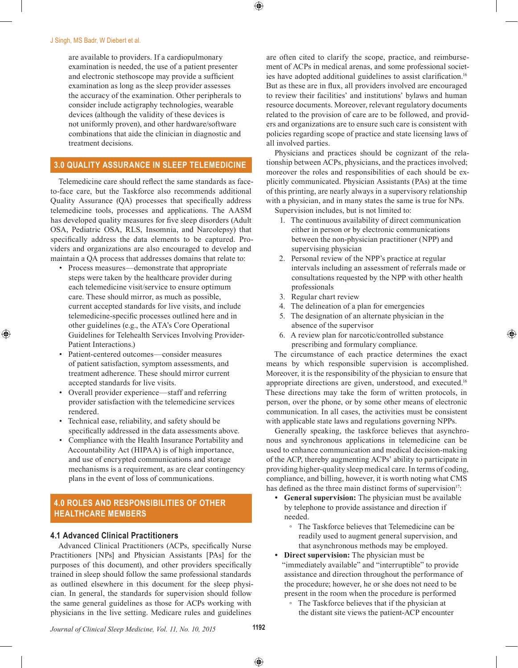are available to providers. If a cardiopulmonary examination is needed, the use of a patient presenter and electronic stethoscope may provide a sufficient examination as long as the sleep provider assesses the accuracy of the examination. Other peripherals to consider include actigraphy technologies, wearable devices (although the validity of these devices is not uniformly proven), and other hardware/software combinations that aide the clinician in diagnostic and treatment decisions.

# **3.0 QUALITY ASSURANCE IN SLEEP TELEMEDICINE**

Telemedicine care should reflect the same standards as faceto-face care, but the Taskforce also recommends additional Quality Assurance (QA) processes that specifically address telemedicine tools, processes and applications. The AASM has developed quality measures for five sleep disorders (Adult OSA, Pediatric OSA, RLS, Insomnia, and Narcolepsy) that specifically address the data elements to be captured. Providers and organizations are also encouraged to develop and maintain a QA process that addresses domains that relate to:

- Process measures—demonstrate that appropriate steps were taken by the healthcare provider during each telemedicine visit/service to ensure optimum care. These should mirror, as much as possible, current accepted standards for live visits, and include telemedicine-specific processes outlined here and in other guidelines (e.g., the ATA's Core Operational Guidelines for Telehealth Services Involving Provider-Patient Interactions.)
- Patient-centered outcomes—consider measures of patient satisfaction, symptom assessments, and treatment adherence. These should mirror current accepted standards for live visits.
- Overall provider experience—staff and referring provider satisfaction with the telemedicine services rendered.
- Technical ease, reliability, and safety should be specifically addressed in the data assessments above.
- Compliance with the Health Insurance Portability and Accountability Act (HIPAA) is of high importance, and use of encrypted communications and storage mechanisms is a requirement, as are clear contingency plans in the event of loss of communications.

# **4.0 ROLES AND RESPONSIBILITIES OF OTHER HEALTHCARE MEMBERS**

# **4.1 Advanced Clinical Practitioners**

Advanced Clinical Practitioners (ACPs, specifically Nurse Practitioners [NPs] and Physician Assistants [PAs] for the purposes of this document), and other providers specifically trained in sleep should follow the same professional standards as outlined elsewhere in this document for the sleep physician. In general, the standards for supervision should follow the same general guidelines as those for ACPs working with physicians in the live setting. Medicare rules and guidelines

are often cited to clarify the scope, practice, and reimbursement of ACPs in medical arenas, and some professional societies have adopted additional guidelines to assist clarification.<sup>16</sup> But as these are in flux, all providers involved are encouraged to review their facilities' and institutions' bylaws and human resource documents. Moreover, relevant regulatory documents related to the provision of care are to be followed, and providers and organizations are to ensure such care is consistent with policies regarding scope of practice and state licensing laws of all involved parties.

Physicians and practices should be cognizant of the relationship between ACPs, physicians, and the practices involved; moreover the roles and responsibilities of each should be explicitly communicated. Physician Assistants (PAs) at the time of this printing, are nearly always in a supervisory relationship with a physician, and in many states the same is true for NPs.

Supervision includes, but is not limited to:

- 1. The continuous availability of direct communication either in person or by electronic communications between the non-physician practitioner (NPP) and supervising physician
- 2. Personal review of the NPP's practice at regular intervals including an assessment of referrals made or consultations requested by the NPP with other health professionals
- 3. Regular chart review
- 4. The delineation of a plan for emergencies
- 5. The designation of an alternate physician in the absence of the supervisor
- 6. A review plan for narcotic/controlled substance prescribing and formulary compliance.

The circumstance of each practice determines the exact means by which responsible supervision is accomplished. Moreover, it is the responsibility of the physician to ensure that appropriate directions are given, understood, and executed.16 These directions may take the form of written protocols, in person, over the phone, or by some other means of electronic communication. In all cases, the activities must be consistent with applicable state laws and regulations governing NPPs.

Generally speaking, the taskforce believes that asynchronous and synchronous applications in telemedicine can be used to enhance communication and medical decision-making of the ACP, thereby augmenting ACPs' ability to participate in providing higher-quality sleep medical care. In terms of coding, compliance, and billing, however, it is worth noting what CMS has defined as the three main distinct forms of supervision<sup>17</sup>:

- **• General supervision:** The physician must be available by telephone to provide assistance and direction if needed.
	- The Taskforce believes that Telemedicine can be readily used to augment general supervision, and that asynchronous methods may be employed.
- **• Direct supervision:** The physician must be "immediately available" and "interruptible" to provide assistance and direction throughout the performance of the procedure; however, he or she does not need to be present in the room when the procedure is performed
	- The Taskforce believes that if the physician at the distant site views the patient-ACP encounter

*Journal of Clinical Sleep Medicine, Vol. 11, No. 10, 2015* **1192**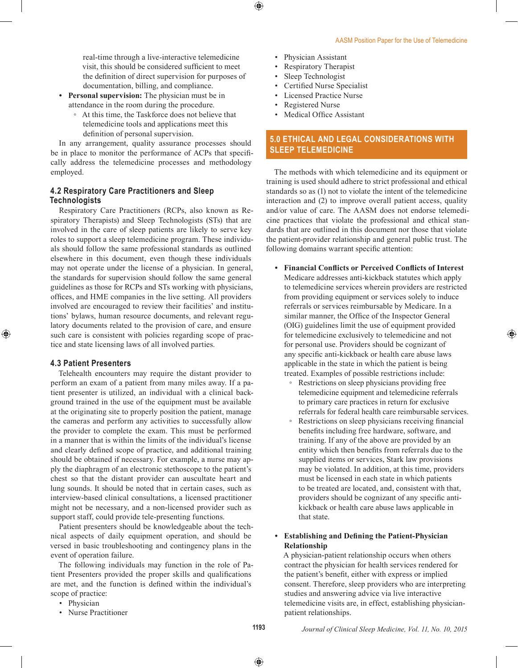real-time through a live-interactive telemedicine visit, this should be considered sufficient to meet the definition of direct supervision for purposes of documentation, billing, and compliance.

- **• Personal supervision:** The physician must be in attendance in the room during the procedure.
	- At this time, the Taskforce does not believe that telemedicine tools and applications meet this definition of personal supervision.

In any arrangement, quality assurance processes should be in place to monitor the performance of ACPs that specifically address the telemedicine processes and methodology employed.

# **4.2 Respiratory Care Practitioners and Sleep Technologists**

Respiratory Care Practitioners (RCPs, also known as Respiratory Therapists) and Sleep Technologists (STs) that are involved in the care of sleep patients are likely to serve key roles to support a sleep telemedicine program. These individuals should follow the same professional standards as outlined elsewhere in this document, even though these individuals may not operate under the license of a physician. In general, the standards for supervision should follow the same general guidelines as those for RCPs and STs working with physicians, offices, and HME companies in the live setting. All providers involved are encouraged to review their facilities' and institutions' bylaws, human resource documents, and relevant regulatory documents related to the provision of care, and ensure such care is consistent with policies regarding scope of practice and state licensing laws of all involved parties.

### **4.3 Patient Presenters**

Telehealth encounters may require the distant provider to perform an exam of a patient from many miles away. If a patient presenter is utilized, an individual with a clinical background trained in the use of the equipment must be available at the originating site to properly position the patient, manage the cameras and perform any activities to successfully allow the provider to complete the exam. This must be performed in a manner that is within the limits of the individual's license and clearly defined scope of practice, and additional training should be obtained if necessary. For example, a nurse may apply the diaphragm of an electronic stethoscope to the patient's chest so that the distant provider can auscultate heart and lung sounds. It should be noted that in certain cases, such as interview-based clinical consultations, a licensed practitioner might not be necessary, and a non-licensed provider such as support staff, could provide tele-presenting functions.

Patient presenters should be knowledgeable about the technical aspects of daily equipment operation, and should be versed in basic troubleshooting and contingency plans in the event of operation failure.

The following individuals may function in the role of Patient Presenters provided the proper skills and qualifications are met, and the function is defined within the individual's scope of practice:

- Physician
- Nurse Practitioner
- Physician Assistant
- Respiratory Therapist
- Sleep Technologist
- Certified Nurse Specialist
- Licensed Practice Nurse
- Registered Nurse
- Medical Office Assistant

# **5.0 ETHICAL AND LEGAL CONSIDERATIONS WITH SLEEP TELEMEDICINE**

The methods with which telemedicine and its equipment or training is used should adhere to strict professional and ethical standards so as (1) not to violate the intent of the telemedicine interaction and (2) to improve overall patient access, quality and/or value of care. The AASM does not endorse telemedicine practices that violate the professional and ethical standards that are outlined in this document nor those that violate the patient-provider relationship and general public trust. The following domains warrant specific attention:

- **• Financial Conflicts or Perceived Conflicts of Interest** Medicare addresses anti-kickback statutes which apply to telemedicine services wherein providers are restricted from providing equipment or services solely to induce referrals or services reimbursable by Medicare. In a similar manner, the Office of the Inspector General (OIG) guidelines limit the use of equipment provided for telemedicine exclusively to telemedicine and not for personal use. Providers should be cognizant of any specific anti-kickback or health care abuse laws applicable in the state in which the patient is being treated. Examples of possible restrictions include:
	- Restrictions on sleep physicians providing free telemedicine equipment and telemedicine referrals to primary care practices in return for exclusive referrals for federal health care reimbursable services.
	- Restrictions on sleep physicians receiving financial benefits including free hardware, software, and training. If any of the above are provided by an entity which then benefits from referrals due to the supplied items or services, Stark law provisions may be violated. In addition, at this time, providers must be licensed in each state in which patients to be treated are located, and, consistent with that, providers should be cognizant of any specific antikickback or health care abuse laws applicable in that state.

### **• Establishing and Defining the Patient-Physician Relationship**

A physician-patient relationship occurs when others contract the physician for health services rendered for the patient's benefit, either with express or implied consent. Therefore, sleep providers who are interpreting studies and answering advice via live interactive telemedicine visits are, in effect, establishing physicianpatient relationships.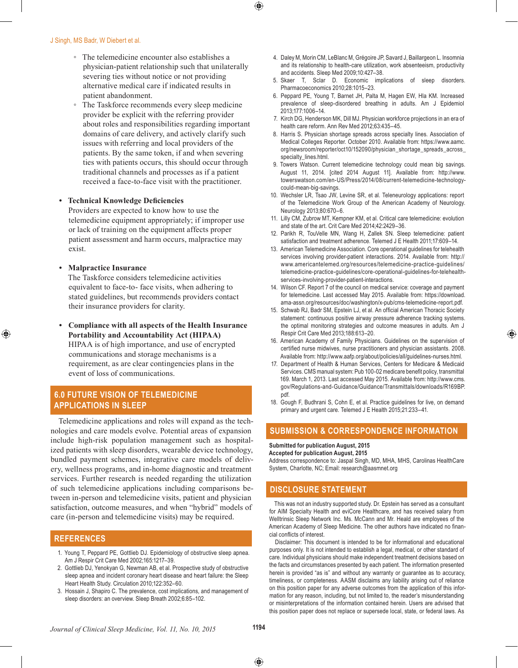#### J Singh, MS Badr, W Diebert et al.

- The telemedicine encounter also establishes a physician-patient relationship such that unilaterally severing ties without notice or not providing alternative medical care if indicated results in patient abandonment.
- The Taskforce recommends every sleep medicine provider be explicit with the referring provider about roles and responsibilities regarding important domains of care delivery, and actively clarify such issues with referring and local providers of the patients. By the same token, if and when severing ties with patients occurs, this should occur through traditional channels and processes as if a patient received a face-to-face visit with the practitioner.

# **• Technical Knowledge Deficiencies**

Providers are expected to know how to use the telemedicine equipment appropriately; if improper use or lack of training on the equipment affects proper patient assessment and harm occurs, malpractice may exist.

**• Malpractice Insurance**

The Taskforce considers telemedicine activities equivalent to face-to- face visits, when adhering to stated guidelines, but recommends providers contact their insurance providers for clarity.

**• Compliance with all aspects of the Health Insurance Portability and Accountability Act (HIPAA)** HIPAA is of high importance, and use of encrypted communications and storage mechanisms is a requirement, as are clear contingencies plans in the event of loss of communications.

# **6.0 FUTURE VISION OF TELEMEDICINE APPLICATIONS IN SLEEP**

Telemedicine applications and roles will expand as the technologies and care models evolve. Potential areas of expansion include high-risk population management such as hospitalized patients with sleep disorders, wearable device technology, bundled payment schemes, integrative care models of delivery, wellness programs, and in-home diagnostic and treatment services. Further research is needed regarding the utilization of such telemedicine applications including comparisons between in-person and telemedicine visits, patient and physician satisfaction, outcome measures, and when "hybrid" models of care (in-person and telemedicine visits) may be required.

# **REFERENCES**

- 1. Young T, Peppard PE, Gottlieb DJ. Epidemiology of obstructive sleep apnea. Am J Respir Crit Care Med 2002;165:1217–39.
- 2. Gottlieb DJ, Yenokyan G, Newman AB, et al. Prospective study of obstructive sleep apnea and incident coronary heart disease and heart failure: the Sleep Heart Health Study. Circulation 2010;122:352–60.
- 3. Hossain J, Shapiro C. The prevalence, cost implications, and management of sleep disorders: an overview. Sleep Breath 2002;6:85–102.
- 4. Daley M, Morin CM, LeBlanc M, Grégoire JP, Savard J, Baillargeon L. Insomnia and its relationship to health-care utilization, work absenteeism, productivity and accidents. Sleep Med 2009;10:427–38.
- 5. Skaer T, Sclar D. Economic implications of sleep disorders. Pharmacoeconomics 2010;28:1015–23.
- 6. Peppard PE, Young T, Barnet JH, Palta M, Hagen EW, Hla KM. Increased prevalence of sleep-disordered breathing in adults. Am J Epidemiol 2013;177:1006–14.
- 7. Kirch DG, Henderson MK, Dill MJ. Physician workforce projections in an era of health care reform. Ann Rev Med 2012;63:435–45.
- 8. Harris S. Physician shortage spreads across specialty lines. Association of Medical Colleges Reporter. October 2010. Available from: https://www.aamc. org/newsroom/reporter/oct10/152090/physician\_shortage\_spreads\_across\_ specialty\_lines.html.
- 9. Towers Watson. Current telemedicine technology could mean big savings. August 11, 2014. [cited 2014 August 11]. Available from: http://www. towerswatson.com/en-US/Press/2014/08/current-telemedicine-technologycould-mean-big-savings.
- 10. Wechsler LR, Tsao JW, Levine SR, et al. Teleneurology applications: report of the Telemedicine Work Group of the American Academy of Neurology. Neurology 2013;80:670–6.
- 11. Lilly CM, Zubrow MT, Kempner KM, et al. Critical care telemedicine: evolution and state of the art. Crit Care Med 2014;42:2429–36.
- 12. Parikh R, TouVelle MN, Wang H, Zallek SN. Sleep telemedicine: patient satisfaction and treatment adherence. Telemed J E Health 2011;17:609–14.
- 13. American Telemedicine Association. Core operational guidelines for telehealth services involving provider-patient interactions. 2014. Available from: http:// www.americantelemed.org/resources/telemedicine-practice-guidelines/ telemedicine-practice-guidelines/core-operational-guidelines-for-telehealthservices-involving-provider-patient-interactions.
- 14. Wilson CF. Report 7 of the council on medical service: coverage and payment for telemedicine. Last accessed May 2015. Available from: https://download. ama-assn.org/resources/doc/washington/x-pub/cms-telemedicine-report.pdf.
- 15. Schwab RJ, Badr SM, Epstein LJ, et al. An official American Thoracic Society statement: continuous positive airway pressure adherence tracking systems. the optimal monitoring strategies and outcome measures in adults. Am J Respir Crit Care Med 2013;188:613–20.
- 16. American Academy of Family Physicians. Guidelines on the supervision of certified nurse midwives, nurse practitioners and physician assistants. 2008. Available from: http://www.aafp.org/about/policies/all/guidelines-nurses.html.
- 17. Department of Health & Human Services, Centers for Medicare & Medicaid Services. CMS manual system: Pub 100-02 medicare benefit policy, transmittal 169. March 1, 2013. Last accessed May 2015. Available from: http://www.cms. gov/Regulations-and-Guidance/Guidance/Transmittals/downloads/R169BP. pdf.
- 18. Gough F, Budhrani S, Cohn E, et al. Practice guidelines for live, on demand primary and urgent care. Telemed J E Health 2015;21:233–41.

# **SUBMISSION & CORRESPONDENCE INFORMATION**

# **Submitted for publication August, 2015**

**Accepted for publication August, 2015**

Address correspondence to: Jaspal Singh, MD, MHA, MHS, Carolinas HealthCare System, Charlotte, NC; Email: research@aasmnet.org

# **DISCLOSURE STATEMENT**

This was not an industry supported study. Dr. Epstein has served as a consultant for AIM Specialty Health and eviCore Healthcare, and has received salary from Welltrinsic Sleep Network Inc. Ms. McCann and Mr. Heald are employees of the American Academy of Sleep Medicine. The other authors have indicated no financial conflicts of interest.

Disclaimer: This document is intended to be for informational and educational purposes only. It is not intended to establish a legal, medical, or other standard of care. Individual physicians should make independent treatment decisions based on the facts and circumstances presented by each patient. The information presented herein is provided "as is" and without any warranty or guarantee as to accuracy, timeliness, or completeness. AASM disclaims any liability arising out of reliance on this position paper for any adverse outcomes from the application of this information for any reason, including, but not limited to, the reader's misunderstanding or misinterpretations of the information contained herein. Users are advised that this position paper does not replace or supersede local, state, or federal laws. As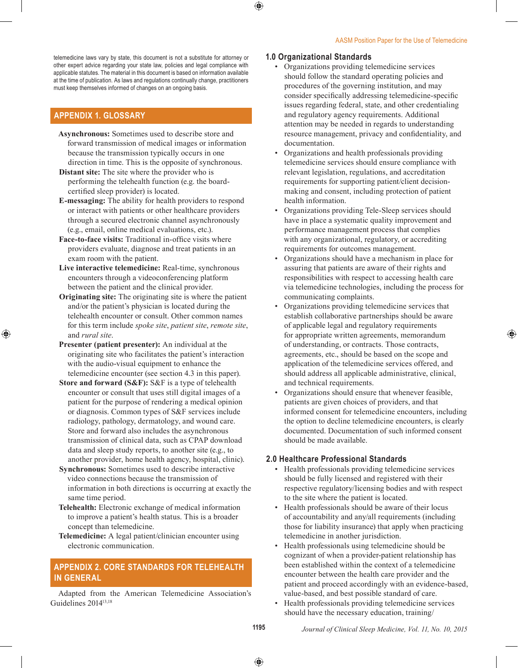telemedicine laws vary by state, this document is not a substitute for attorney or other expert advice regarding your state law, policies and legal compliance with applicable statutes. The material in this document is based on information available at the time of publication. As laws and regulations continually change, practitioners must keep themselves informed of changes on an ongoing basis.

# **APPENDIX 1. GLOSSARY**

- **Asynchronous:** Sometimes used to describe store and forward transmission of medical images or information because the transmission typically occurs in one direction in time. This is the opposite of synchronous.
- **Distant site:** The site where the provider who is performing the telehealth function (e.g. the boardcertified sleep provider) is located.
- **E-messaging:** The ability for health providers to respond or interact with patients or other healthcare providers through a secured electronic channel asynchronously (e.g., email, online medical evaluations, etc.).
- **Face-to-face visits:** Traditional in-office visits where providers evaluate, diagnose and treat patients in an exam room with the patient.
- **Live interactive telemedicine:** Real-time, synchronous encounters through a videoconferencing platform between the patient and the clinical provider.
- **Originating site:** The originating site is where the patient and/or the patient's physician is located during the telehealth encounter or consult. Other common names for this term include *spoke site*, *patient site*, *remote site*, and *rural site*.
- **Presenter (patient presenter):** An individual at the originating site who facilitates the patient's interaction with the audio-visual equipment to enhance the telemedicine encounter (see section 4.3 in this paper).
- **Store and forward (S&F):** S&F is a type of telehealth encounter or consult that uses still digital images of a patient for the purpose of rendering a medical opinion or diagnosis. Common types of S&F services include radiology, pathology, dermatology, and wound care. Store and forward also includes the asynchronous transmission of clinical data, such as CPAP download data and sleep study reports, to another site (e.g., to another provider, home health agency, hospital, clinic).
- **Synchronous:** Sometimes used to describe interactive video connections because the transmission of information in both directions is occurring at exactly the same time period.
- **Telehealth:** Electronic exchange of medical information to improve a patient's health status. This is a broader concept than telemedicine.
- **Telemedicine:** A legal patient/clinician encounter using electronic communication.

# **APPENDIX 2. CORE STANDARDS FOR TELEHEALTH IN GENERAL**

Adapted from the American Telemedicine Association's Guidelines 201413,18

# **1.0 Organizational Standards**

- Organizations providing telemedicine services should follow the standard operating policies and procedures of the governing institution, and may consider specifically addressing telemedicine-specific issues regarding federal, state, and other credentialing and regulatory agency requirements. Additional attention may be needed in regards to understanding resource management, privacy and confidentiality, and documentation.
- Organizations and health professionals providing telemedicine services should ensure compliance with relevant legislation, regulations, and accreditation requirements for supporting patient/client decisionmaking and consent, including protection of patient health information.
- Organizations providing Tele-Sleep services should have in place a systematic quality improvement and performance management process that complies with any organizational, regulatory, or accrediting requirements for outcomes management.
- Organizations should have a mechanism in place for assuring that patients are aware of their rights and responsibilities with respect to accessing health care via telemedicine technologies, including the process for communicating complaints.
- Organizations providing telemedicine services that establish collaborative partnerships should be aware of applicable legal and regulatory requirements for appropriate written agreements, memorandum of understanding, or contracts. Those contracts, agreements, etc., should be based on the scope and application of the telemedicine services offered, and should address all applicable administrative, clinical, and technical requirements.
- Organizations should ensure that whenever feasible, patients are given choices of providers, and that informed consent for telemedicine encounters, including the option to decline telemedicine encounters, is clearly documented. Documentation of such informed consent should be made available.

# **2.0 Healthcare Professional Standards**

- Health professionals providing telemedicine services should be fully licensed and registered with their respective regulatory/licensing bodies and with respect to the site where the patient is located.
- Health professionals should be aware of their locus of accountability and any/all requirements (including those for liability insurance) that apply when practicing telemedicine in another jurisdiction.
- Health professionals using telemedicine should be cognizant of when a provider-patient relationship has been established within the context of a telemedicine encounter between the health care provider and the patient and proceed accordingly with an evidence-based, value-based, and best possible standard of care.
- Health professionals providing telemedicine services should have the necessary education, training/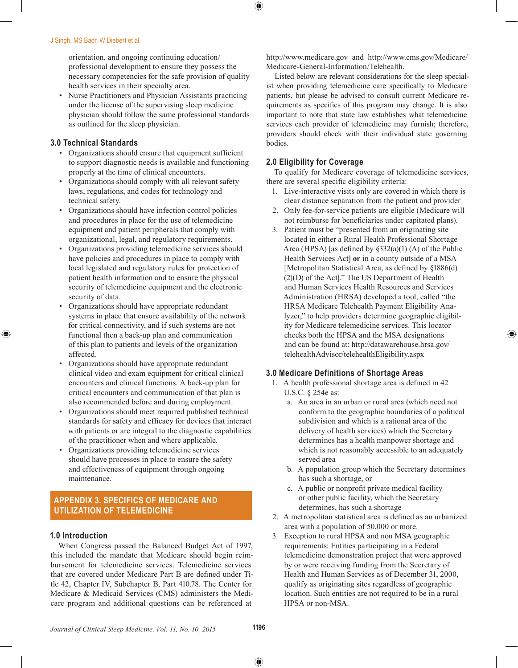orientation, and ongoing continuing education/ professional development to ensure they possess the necessary competencies for the safe provision of quality health services in their specialty area.

• Nurse Practitioners and Physician Assistants practicing under the license of the supervising sleep medicine physician should follow the same professional standards as outlined for the sleep physician.

# **3.0 Technical Standards**

- Organizations should ensure that equipment sufficient to support diagnostic needs is available and functioning properly at the time of clinical encounters.
- Organizations should comply with all relevant safety laws, regulations, and codes for technology and technical safety.
- Organizations should have infection control policies and procedures in place for the use of telemedicine equipment and patient peripherals that comply with organizational, legal, and regulatory requirements.
- Organizations providing telemedicine services should have policies and procedures in place to comply with local legislated and regulatory rules for protection of patient health information and to ensure the physical security of telemedicine equipment and the electronic security of data.
- Organizations should have appropriate redundant systems in place that ensure availability of the network for critical connectivity, and if such systems are not functional then a back-up plan and communication of this plan to patients and levels of the organization affected.
- Organizations should have appropriate redundant clinical video and exam equipment for critical clinical encounters and clinical functions. A back-up plan for critical encounters and communication of that plan is also recommended before and during employment.
- Organizations should meet required published technical standards for safety and efficacy for devices that interact with patients or are integral to the diagnostic capabilities of the practitioner when and where applicable.
- Organizations providing telemedicine services should have processes in place to ensure the safety and effectiveness of equipment through ongoing maintenance.

# **APPENDIX 3. SPECIFICS OF MEDICARE AND UTILIZATION OF TELEMEDICINE**

# **1.0 Introduction**

When Congress passed the Balanced Budget Act of 1997, this included the mandate that Medicare should begin reimbursement for telemedicine services. Telemedicine services that are covered under Medicare Part B are defined under Title 42, Chapter IV, Subchapter B, Part 410.78. The Center for Medicare & Medicaid Services (CMS) administers the Medicare program and additional questions can be referenced at

http://www.medicare.gov and http://www.cms.gov/Medicare/ Medicare-General-Information/Telehealth.

Listed below are relevant considerations for the sleep specialist when providing telemedicine care specifically to Medicare patients, but please be advised to consult current Medicare requirements as specifics of this program may change. It is also important to note that state law establishes what telemedicine services each provider of telemedicine may furnish; therefore, providers should check with their individual state governing bodies.

# **2.0 Eligibility for Coverage**

To qualify for Medicare coverage of telemedicine services, there are several specific eligibility criteria:

- 1. Live-interactive visits only are covered in which there is clear distance separation from the patient and provider
- 2. Only fee-for-service patients are eligible (Medicare will not reimburse for beneficiaries under capitated plans).
- 3. Patient must be "presented from an originating site located in either a Rural Health Professional Shortage Area (HPSA) [as defined by §332(a)(1) (A) of the Public Health Services Act] **or** in a county outside of a MSA [Metropolitan Statistical Area, as defined by §1886(d) (2)(D) of the Act]." The US Department of Health and Human Services Health Resources and Services Administration (HRSA) developed a tool, called "the HRSA Medicare Telehealth Payment Eligibility Analyzer," to help providers determine geographic eligibility for Medicare telemedicine services. This locator checks both the HPSA and the MSA designations and can be found at: http://datawarehouse.hrsa.gov/ telehealthAdvisor/telehealthEligibility.aspx

# **3.0 Medicare Definitions of Shortage Areas**

- 1. A health professional shortage area is defined in 42 U.S.C. § 254e as:
	- a. An area in an urban or rural area (which need not conform to the geographic boundaries of a political subdivision and which is a rational area of the delivery of health services) which the Secretary determines has a health manpower shortage and which is not reasonably accessible to an adequately served area
	- b. A population group which the Secretary determines has such a shortage, or
	- c. A public or nonprofit private medical facility or other public facility, which the Secretary determines, has such a shortage
- 2. A metropolitan statistical area is defined as an urbanized area with a population of 50,000 or more.
- 3. Exception to rural HPSA and non MSA geographic requirements: Entities participating in a Federal telemedicine demonstration project that were approved by or were receiving funding from the Secretary of Health and Human Services as of December 31, 2000, qualify as originating sites regardless of geographic location. Such entities are not required to be in a rural HPSA or non-MSA.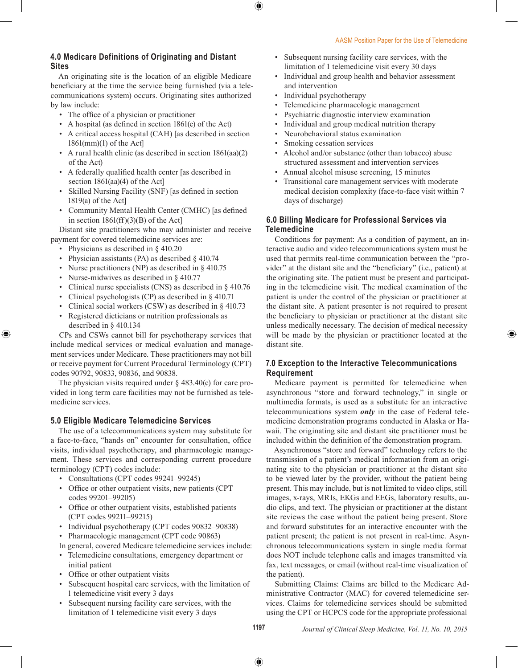# **4.0 Medicare Definitions of Originating and Distant Sites**

An originating site is the location of an eligible Medicare beneficiary at the time the service being furnished (via a telecommunications system) occurs. Originating sites authorized by law include:

- The office of a physician or practitioner
- A hospital (as defined in section 1861(e) of the Act)
- A critical access hospital (CAH) [as described in section 1861(mm)(1) of the Act]
- A rural health clinic (as described in section 1861(aa)(2) of the Act)
- A federally qualified health center [as described in section 1861(aa)(4) of the Act]
- Skilled Nursing Facility (SNF) [as defined in section 1819(a) of the Act]
- Community Mental Health Center (CMHC) [as defined in section  $1861(ff)(3)(B)$  of the Act]

Distant site practitioners who may administer and receive payment for covered telemedicine services are:

- Physicians as described in § 410.20
- Physician assistants (PA) as described § 410.74
- Nurse practitioners (NP) as described in § 410.75
- Nurse-midwives as described in § 410.77
- Clinical nurse specialists (CNS) as described in § 410.76
- Clinical psychologists (CP) as described in § 410.71
- Clinical social workers (CSW) as described in § 410.73
- Registered dieticians or nutrition professionals as described in § 410.134

CPs and CSWs cannot bill for psychotherapy services that include medical services or medical evaluation and management services under Medicare. These practitioners may not bill or receive payment for Current Procedural Terminology (CPT) codes 90792, 90833, 90836, and 90838.

The physician visits required under  $\S$  483.40(c) for care provided in long term care facilities may not be furnished as telemedicine services.

# **5.0 Eligible Medicare Telemedicine Services**

The use of a telecommunications system may substitute for a face-to-face, "hands on" encounter for consultation, office visits, individual psychotherapy, and pharmacologic management. These services and corresponding current procedure terminology (CPT) codes include:

- Consultations (CPT codes 99241–99245)
- Office or other outpatient visits, new patients (CPT) codes 99201–99205)
- Office or other outpatient visits, established patients (CPT codes 99211–99215)
- Individual psychotherapy (CPT codes 90832–90838)
- Pharmacologic management (CPT code 90863)

In general, covered Medicare telemedicine services include:

- Telemedicine consultations, emergency department or initial patient
- Office or other outpatient visits
- Subsequent hospital care services, with the limitation of 1 telemedicine visit every 3 days
- Subsequent nursing facility care services, with the limitation of 1 telemedicine visit every 3 days
- Subsequent nursing facility care services, with the limitation of 1 telemedicine visit every 30 days
- Individual and group health and behavior assessment and intervention
- Individual psychotherapy
- Telemedicine pharmacologic management
- Psychiatric diagnostic interview examination
- Individual and group medical nutrition therapy
- Neurobehavioral status examination
- Smoking cessation services
- Alcohol and/or substance (other than tobacco) abuse structured assessment and intervention services
- Annual alcohol misuse screening, 15 minutes
- Transitional care management services with moderate medical decision complexity (face-to-face visit within 7 days of discharge)

# **6.0 Billing Medicare for Professional Services via Telemedicine**

Conditions for payment: As a condition of payment, an interactive audio and video telecommunications system must be used that permits real-time communication between the "provider" at the distant site and the "beneficiary" (i.e., patient) at the originating site. The patient must be present and participating in the telemedicine visit. The medical examination of the patient is under the control of the physician or practitioner at the distant site. A patient presenter is not required to present the beneficiary to physician or practitioner at the distant site unless medically necessary. The decision of medical necessity will be made by the physician or practitioner located at the distant site.

# **7.0 Exception to the Interactive Telecommunications Requirement**

Medicare payment is permitted for telemedicine when asynchronous "store and forward technology," in single or multimedia formats, is used as a substitute for an interactive telecommunications system *only* in the case of Federal telemedicine demonstration programs conducted in Alaska or Hawaii. The originating site and distant site practitioner must be included within the definition of the demonstration program.

Asynchronous "store and forward" technology refers to the transmission of a patient's medical information from an originating site to the physician or practitioner at the distant site to be viewed later by the provider, without the patient being present. This may include, but is not limited to video clips, still images, x-rays, MRIs, EKGs and EEGs, laboratory results, audio clips, and text. The physician or practitioner at the distant site reviews the case without the patient being present. Store and forward substitutes for an interactive encounter with the patient present; the patient is not present in real-time. Asynchronous telecommunications system in single media format does NOT include telephone calls and images transmitted via fax, text messages, or email (without real-time visualization of the patient).

Submitting Claims: Claims are billed to the Medicare Administrative Contractor (MAC) for covered telemedicine services. Claims for telemedicine services should be submitted using the CPT or HCPCS code for the appropriate professional